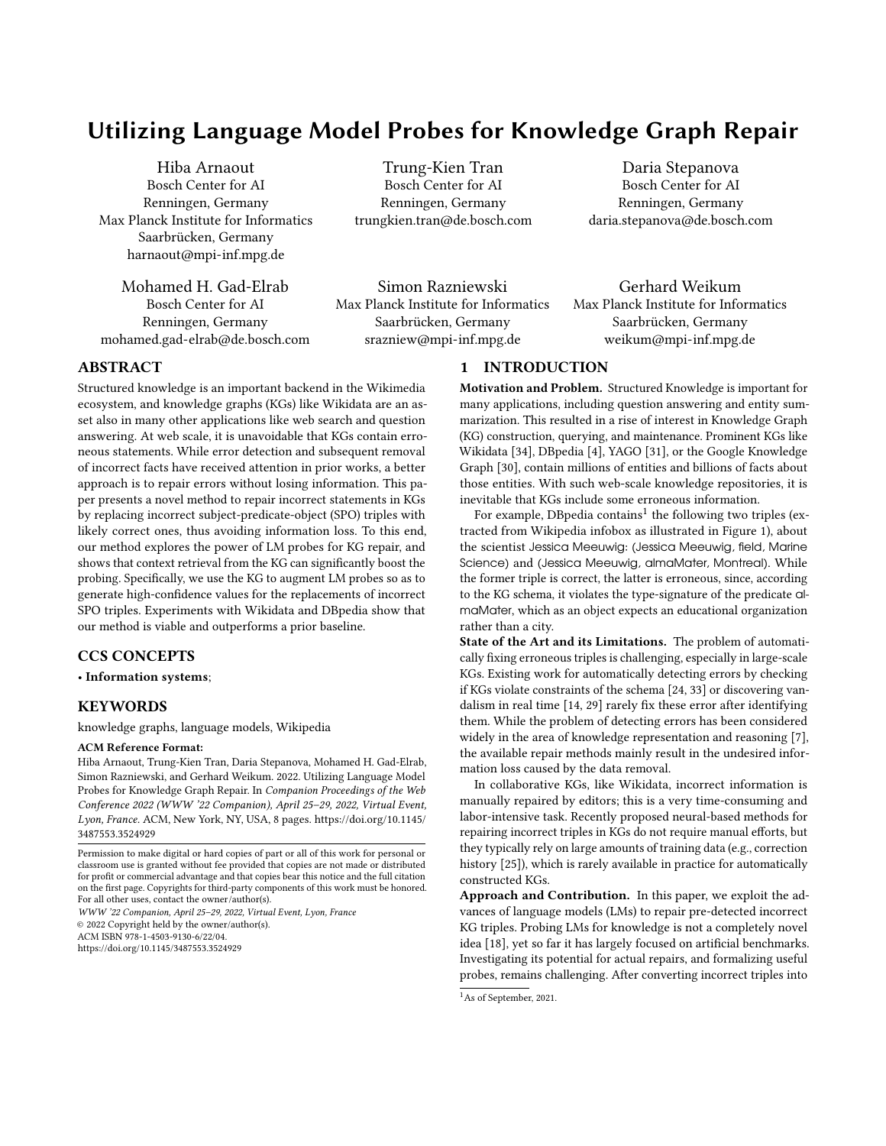# Utilizing Language Model Probes for Knowledge Graph Repair

Hiba Arnaout Bosch Center for AI Renningen, Germany Max Planck Institute for Informatics Saarbrücken, Germany harnaout@mpi-inf.mpg.de

Mohamed H. Gad-Elrab Bosch Center for AI Renningen, Germany mohamed.gad-elrab@de.bosch.com

Trung-Kien Tran Bosch Center for AI Renningen, Germany trungkien.tran@de.bosch.com

Simon Razniewski Max Planck Institute for Informatics Saarbrücken, Germany srazniew@mpi-inf.mpg.de

Daria Stepanova Bosch Center for AI Renningen, Germany daria.stepanova@de.bosch.com

Gerhard Weikum Max Planck Institute for Informatics Saarbrücken, Germany weikum@mpi-inf.mpg.de

# ABSTRACT

Structured knowledge is an important backend in the Wikimedia ecosystem, and knowledge graphs (KGs) like Wikidata are an asset also in many other applications like web search and question answering. At web scale, it is unavoidable that KGs contain erroneous statements. While error detection and subsequent removal of incorrect facts have received attention in prior works, a better approach is to repair errors without losing information. This paper presents a novel method to repair incorrect statements in KGs by replacing incorrect subject-predicate-object (SPO) triples with likely correct ones, thus avoiding information loss. To this end, our method explores the power of LM probes for KG repair, and shows that context retrieval from the KG can significantly boost the probing. Specifically, we use the KG to augment LM probes so as to generate high-confidence values for the replacements of incorrect SPO triples. Experiments with Wikidata and DBpedia show that our method is viable and outperforms a prior baseline.

## CCS CONCEPTS

• Information systems;

# **KEYWORDS**

knowledge graphs, language models, Wikipedia

#### ACM Reference Format:

Hiba Arnaout, Trung-Kien Tran, Daria Stepanova, Mohamed H. Gad-Elrab, Simon Razniewski, and Gerhard Weikum. 2022. Utilizing Language Model Probes for Knowledge Graph Repair. In Companion Proceedings of the Web Conference 2022 (WWW '22 Companion), April 25–29, 2022, Virtual Event, Lyon, France. ACM, New York, NY, USA, [8](#page-7-0) pages. [https://doi.org/10.1145/](https://doi.org/10.1145/3487553.3524929) [3487553.3524929](https://doi.org/10.1145/3487553.3524929)

WWW '22 Companion, April 25–29, 2022, Virtual Event, Lyon, France © 2022 Copyright held by the owner/author(s). ACM ISBN 978-1-4503-9130-6/22/04.

<https://doi.org/10.1145/3487553.3524929>

# 1 INTRODUCTION

Motivation and Problem. Structured Knowledge is important for many applications, including question answering and entity summarization. This resulted in a rise of interest in Knowledge Graph (KG) construction, querying, and maintenance. Prominent KGs like Wikidata [\[34\]](#page-7-1), DBpedia [\[4\]](#page-7-2), YAGO [\[31\]](#page-7-3), or the Google Knowledge Graph [\[30\]](#page-7-4), contain millions of entities and billions of facts about those entities. With such web-scale knowledge repositories, it is inevitable that KGs include some erroneous information.

For example, DBpedia contains $^1$  $^1$  the following two triples (extracted from Wikipedia infobox as illustrated in Figure [1\)](#page-1-0), about the scientist Jessica Meeuwig: (Jessica Meeuwig, field, Marine Science) and (Jessica Meeuwig, almaMater, Montreal). While the former triple is correct, the latter is erroneous, since, according to the KG schema, it violates the type-signature of the predicate almaMater, which as an object expects an educational organization rather than a city.

State of the Art and its Limitations. The problem of automatically fixing erroneous triples is challenging, especially in large-scale KGs. Existing work for automatically detecting errors by checking if KGs violate constraints of the schema [\[24,](#page-7-5) [33\]](#page-7-6) or discovering vandalism in real time [\[14,](#page-7-7) [29\]](#page-7-8) rarely fix these error after identifying them. While the problem of detecting errors has been considered widely in the area of knowledge representation and reasoning [\[7\]](#page-7-9), the available repair methods mainly result in the undesired information loss caused by the data removal.

In collaborative KGs, like Wikidata, incorrect information is manually repaired by editors; this is a very time-consuming and labor-intensive task. Recently proposed neural-based methods for repairing incorrect triples in KGs do not require manual efforts, but they typically rely on large amounts of training data (e.g., correction history [\[25\]](#page-7-10)), which is rarely available in practice for automatically constructed KGs.

Approach and Contribution. In this paper, we exploit the advances of language models (LMs) to repair pre-detected incorrect KG triples. Probing LMs for knowledge is not a completely novel idea [\[18\]](#page-7-11), yet so far it has largely focused on artificial benchmarks. Investigating its potential for actual repairs, and formalizing useful probes, remains challenging. After converting incorrect triples into

Permission to make digital or hard copies of part or all of this work for personal or classroom use is granted without fee provided that copies are not made or distributed for profit or commercial advantage and that copies bear this notice and the full citation on the first page. Copyrights for third-party components of this work must be honored. For all other uses, contact the owner/author(s).

<span id="page-0-0"></span><sup>&</sup>lt;sup>1</sup>As of September, 2021.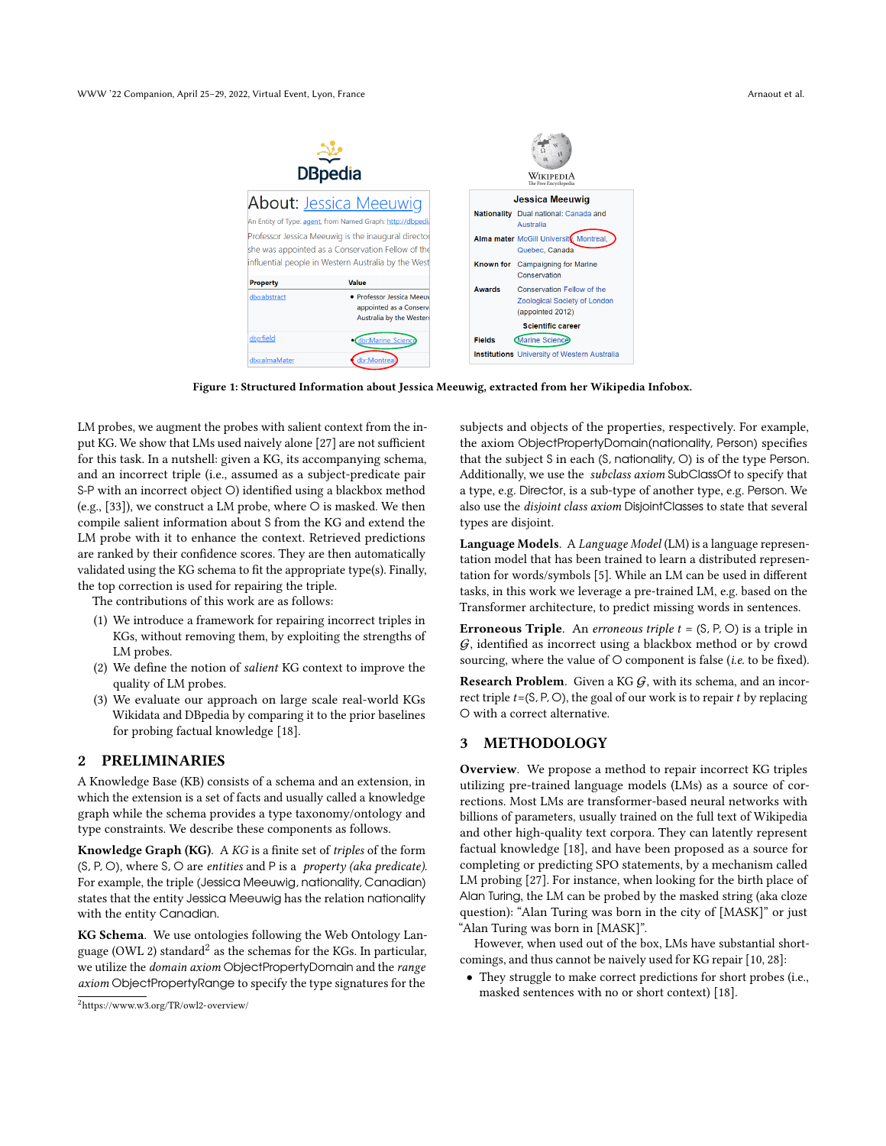<span id="page-1-0"></span>

|                                 | <b>DBpedia</b>                                                                                           | WikipediA<br>The Free Encyclopedia |                                                                                                            |  |
|---------------------------------|----------------------------------------------------------------------------------------------------------|------------------------------------|------------------------------------------------------------------------------------------------------------|--|
|                                 | <b>About: Jessica Meeuwig</b><br>An Entity of Type: agent, from Named Graph: http://dbpedi.              |                                    | <b>Jessica Meeuwig</b><br>Nationality Dual national: Canada and<br>Australia                               |  |
|                                 | Professor Jessica Meeuwig is the inaugural director<br>she was appointed as a Conservation Fellow of the |                                    | Alma mater McGill University, Montreal,<br>Quebec, Canada                                                  |  |
|                                 | influential people in Western Australia by the West<br><b>Value</b>                                      | Known for                          | <b>Campaigning for Marine</b><br>Conservation                                                              |  |
| <b>Property</b><br>dbo:abstract | · Professor Jessica Meeuv<br>appointed as a Conserv<br>Australia by the Westeri                          | <b>Awards</b>                      | Conservation Fellow of the<br>Zoological Society of London<br>(appointed 2012)<br><b>Scientific career</b> |  |
| dbp:field                       | dbr:Marine_Science                                                                                       | <b>Fields</b>                      | <b>Marine Science</b><br><b>Institutions</b> University of Western Australia                               |  |
| dbo:almaMater                   | dbr:Montreal                                                                                             |                                    |                                                                                                            |  |

Figure 1: Structured Information about Jessica Meeuwig, extracted from her Wikipedia Infobox.

LM probes, we augment the probes with salient context from the input KG. We show that LMs used naively alone [\[27\]](#page-7-12) are not sufficient for this task. In a nutshell: given a KG, its accompanying schema, and an incorrect triple (i.e., assumed as a subject-predicate pair S-P with an incorrect object O) identified using a blackbox method (e.g., [\[33\]](#page-7-6)), we construct a LM probe, where O is masked. We then compile salient information about S from the KG and extend the LM probe with it to enhance the context. Retrieved predictions are ranked by their confidence scores. They are then automatically validated using the KG schema to fit the appropriate type(s). Finally, the top correction is used for repairing the triple.

The contributions of this work are as follows:

- (1) We introduce a framework for repairing incorrect triples in KGs, without removing them, by exploiting the strengths of LM probes.
- (2) We define the notion of salient KG context to improve the quality of LM probes.
- (3) We evaluate our approach on large scale real-world KGs Wikidata and DBpedia by comparing it to the prior baselines for probing factual knowledge [\[18\]](#page-7-11).

#### 2 PRELIMINARIES

A Knowledge Base (KB) consists of a schema and an extension, in which the extension is a set of facts and usually called a knowledge graph while the schema provides a type taxonomy/ontology and type constraints. We describe these components as follows.

Knowledge Graph (KG). A KG is a finite set of triples of the form  $(S, P, O)$ , where S, O are entities and P is a property (aka predicate). For example, the triple (Jessica Meeuwig, nationality, Canadian) states that the entity Jessica Meeuwig has the relation nationality with the entity Canadian.

KG Schema. We use ontologies following the Web Ontology Lan-guage (OWL [2](#page-1-1)) standard<sup>2</sup> as the schemas for the KGs. In particular, we utilize the domain axiom ObjectPropertyDomain and the range axiom ObjectPropertyRange to specify the type signatures for the

subjects and objects of the properties, respectively. For example, the axiom ObjectPropertyDomain(nationality, Person) specifies that the subject S in each (S, nationality, O) is of the type Person. Additionally, we use the subclass axiom SubClassOf to specify that a type, e.g. Director, is a sub-type of another type, e.g. Person. We also use the disjoint class axiom DisjointClasses to state that several types are disjoint.

Language Models. A Language Model (LM) is a language representation model that has been trained to learn a distributed representation for words/symbols [\[5\]](#page-7-13). While an LM can be used in different tasks, in this work we leverage a pre-trained LM, e.g. based on the Transformer architecture, to predict missing words in sentences.

**Erroneous Triple.** An erroneous triple  $t = (S, P, O)$  is a triple in  $G$ , identified as incorrect using a blackbox method or by crowd sourcing, where the value of O component is false (i.e. to be fixed).

**Research Problem.** Given a KG  $G$ , with its schema, and an incorrect triple  $t = (S, P, O)$ , the goal of our work is to repair  $t$  by replacing O with a correct alternative.

## 3 METHODOLOGY

Overview. We propose a method to repair incorrect KG triples utilizing pre-trained language models (LMs) as a source of corrections. Most LMs are transformer-based neural networks with billions of parameters, usually trained on the full text of Wikipedia and other high-quality text corpora. They can latently represent factual knowledge [\[18\]](#page-7-11), and have been proposed as a source for completing or predicting SPO statements, by a mechanism called LM probing [\[27\]](#page-7-12). For instance, when looking for the birth place of Alan Turing, the LM can be probed by the masked string (aka cloze question): "Alan Turing was born in the city of [MASK]" or just "Alan Turing was born in [MASK]".

However, when used out of the box, LMs have substantial shortcomings, and thus cannot be naively used for KG repair [\[10,](#page-7-14) [28\]](#page-7-15):

• They struggle to make correct predictions for short probes (i.e., masked sentences with no or short context) [\[18\]](#page-7-11).

<span id="page-1-1"></span><sup>2</sup><https://www.w3.org/TR/owl2-overview/>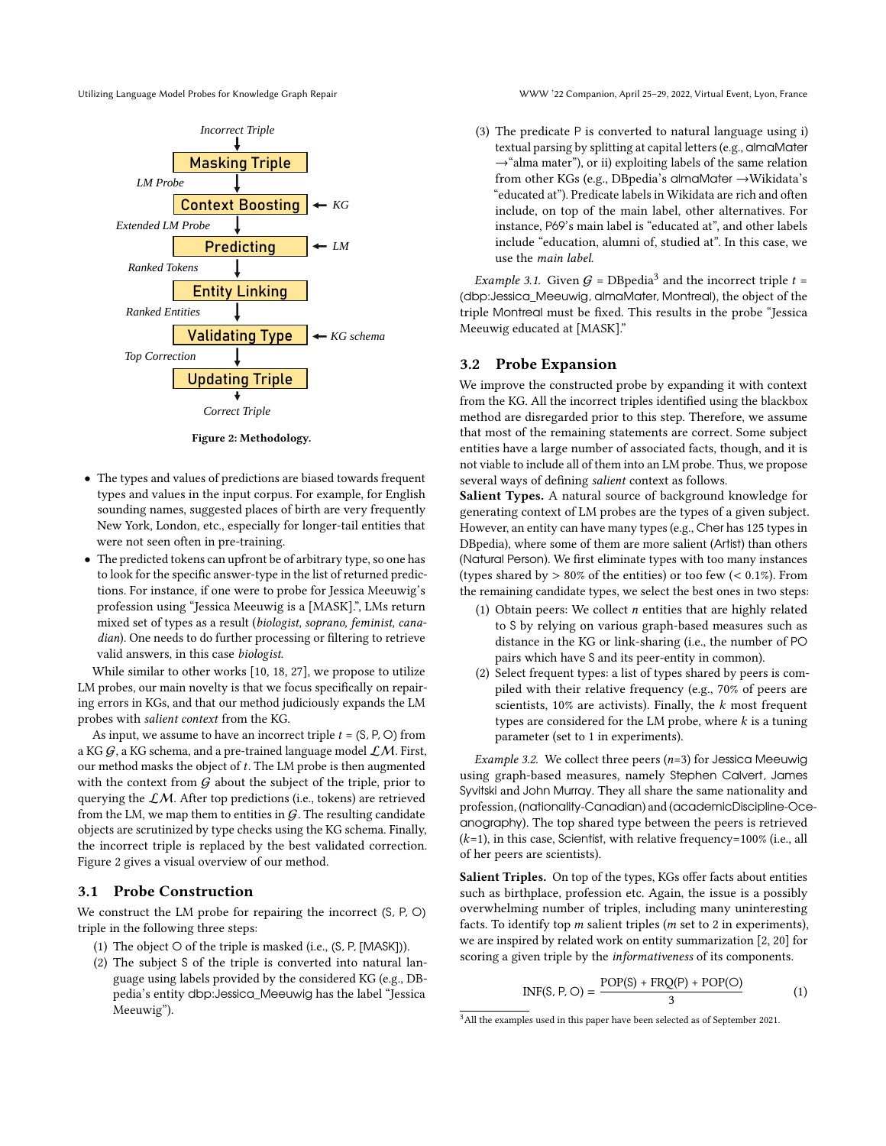<span id="page-2-0"></span>



Figure 2: Methodology.

- $\bullet~$  The types and values of predictions are biased towards frequent types and values in the input corpus. For example, for English sounding names, suggested places of birth are very frequently New York, London, etc., especially for longer-tail entities that were not seen often in pre-training.
- The predicted tokens can upfront be of arbitrary type, so one has to look for the specific answer-type in the list of returned predictions. For instance, if one were to probe for Jessica Meeuwig's profession using "Jessica Meeuwig is a [MASK].", LMs return mixed set of types as a result (biologist, soprano, feminist, canadian). One needs to do further processing or filtering to retrieve valid answers, in this case biologist.

While similar to other works [\[10,](#page-7-14) [18,](#page-7-11) [27\]](#page-7-12), we propose to utilize LM probes, our main novelty is that we focus specifically on repairing errors in KGs, and that our method judiciously expands the LM probes with salient context from the KG.

As input, we assume to have an incorrect triple  $t = (S, P, O)$  from a KG  $G$ , a KG schema, and a pre-trained language model  $LM$ . First, our method masks the object of  $t$ . The LM probe is then augmented with the context from  $G$  about the subject of the triple, prior to querying the  $\mathcal{L}M$ . After top predictions (i.e., tokens) are retrieved from the LM, we map them to entities in  $G$ . The resulting candidate objects are scrutinized by type checks using the KG schema. Finally, the incorrect triple is replaced by the best validated correction. Figure [2](#page-2-0) gives a visual overview of our method.

# 3.1 Probe Construction

We construct the LM probe for repairing the incorrect (S, P, O) triple in the following three steps:

- (1) The object O of the triple is masked (i.e., (S, P, [MASK])).
- (2) The subject S of the triple is converted into natural language using labels provided by the considered KG (e.g., DBpedia's entity dbp:Jessica\_Meeuwig has the label "Jessica Meeuwig").

(3) The predicate P is converted to natural language using i) textual parsing by splitting at capital letters (e.g., almaMater  $\rightarrow$ "alma mater"), or ii) exploiting labels of the same relation from other KGs (e.g., DBpedia's almaMater →Wikidata's "educated at"). Predicate labels in Wikidata are rich and often include, on top of the main label, other alternatives. For instance, P69's main label is "educated at", and other labels include "education, alumni of, studied at". In this case, we use the main label.

*Example [3](#page-2-1).1.* Given  $G = DBpedia^3$  and the incorrect triple  $t =$ (dbp:Jessica\_Meeuwig, almaMater, Montreal), the object of the triple Montreal must be fixed. This results in the probe "Jessica Meeuwig educated at [MASK]."

#### 3.2 Probe Expansion

We improve the constructed probe by expanding it with context from the KG. All the incorrect triples identified using the blackbox method are disregarded prior to this step. Therefore, we assume that most of the remaining statements are correct. Some subject entities have a large number of associated facts, though, and it is not viable to include all of them into an LM probe. Thus, we propose several ways of defining salient context as follows.

Salient Types. A natural source of background knowledge for generating context of LM probes are the types of a given subject. However, an entity can have many types (e.g., Cher has 125 types in DBpedia), where some of them are more salient (Artist) than others (Natural Person). We first eliminate types with too many instances (types shared by  $> 80\%$  of the entities) or too few (< 0.1%). From the remaining candidate types, we select the best ones in two steps:

- (1) Obtain peers: We collect  $n$  entities that are highly related to S by relying on various graph-based measures such as distance in the KG or link-sharing (i.e., the number of PO pairs which have S and its peer-entity in common).
- (2) Select frequent types: a list of types shared by peers is compiled with their relative frequency (e.g., 70% of peers are scientists,  $10\%$  are activists). Finally, the  $k$  most frequent types are considered for the LM probe, where  $k$  is a tuning parameter (set to 1 in experiments).

Example 3.2. We collect three peers  $(n=3)$  for Jessica Meeuwig using graph-based measures, namely Stephen Calvert, James Syvitski and John Murray. They all share the same nationality and profession, (nationality-Canadian) and (academicDiscipline-Oceanography). The top shared type between the peers is retrieved  $(k=1)$ , in this case, Scientist, with relative frequency=100% (i.e., all of her peers are scientists).

Salient Triples. On top of the types, KGs offer facts about entities such as birthplace, profession etc. Again, the issue is a possibly overwhelming number of triples, including many uninteresting facts. To identify top  $m$  salient triples ( $m$  set to 2 in experiments), we are inspired by related work on entity summarization [\[2,](#page-7-16) [20\]](#page-7-17) for scoring a given triple by the informativeness of its components.

<span id="page-2-2"></span>
$$
INF(S, P, O) = \frac{POP(S) + FRQ(P) + POP(O)}{3}
$$
 (1)

<span id="page-2-1"></span><sup>&</sup>lt;sup>3</sup> All the examples used in this paper have been selected as of September 2021.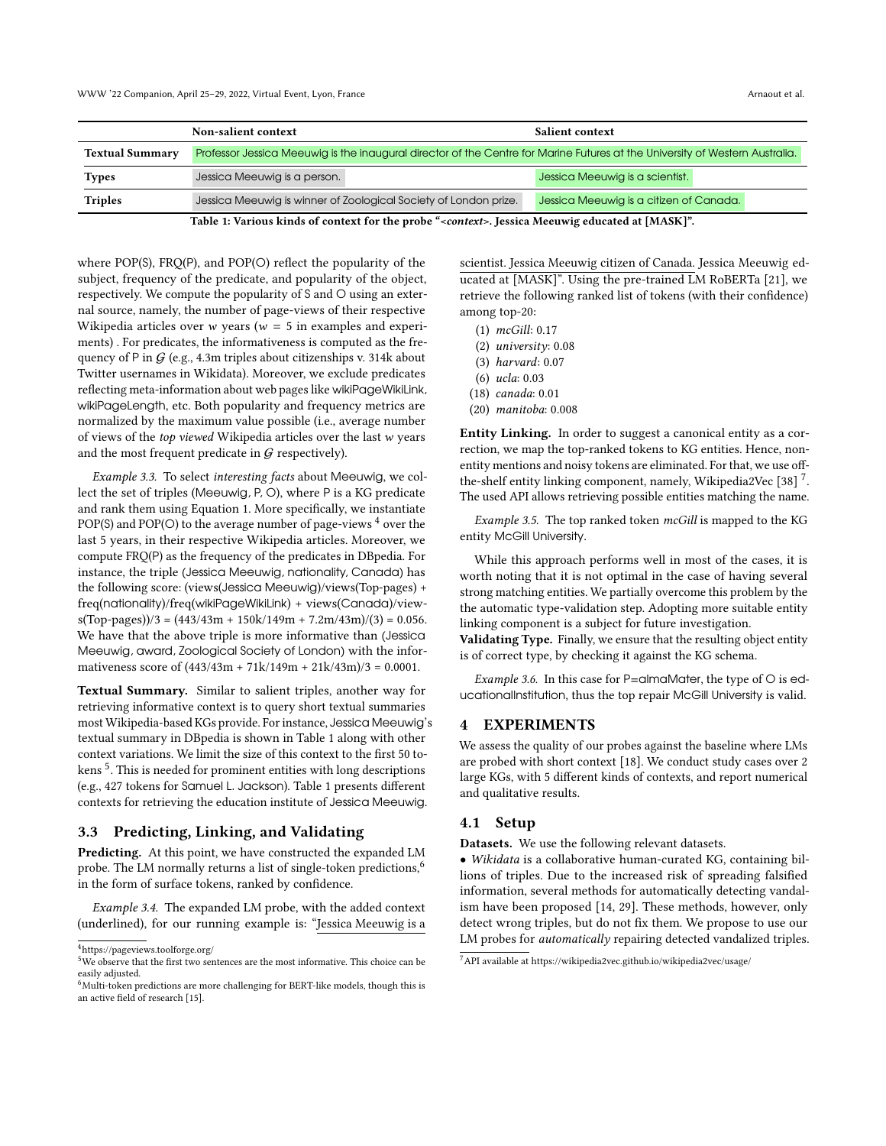<span id="page-3-1"></span>

|                        | Non-salient context                                                                                                          | Salient context                         |  |
|------------------------|------------------------------------------------------------------------------------------------------------------------------|-----------------------------------------|--|
| <b>Textual Summary</b> | Professor Jessica Meeuwig is the inaugural director of the Centre for Marine Futures at the University of Western Australia. |                                         |  |
| <b>Types</b>           | Jessica Meeuwig is a person.                                                                                                 | Jessica Meeuwig is a scientist.         |  |
| <b>Triples</b>         | Jessica Meeuwig is winner of Zoological Society of London prize.                                                             | Jessica Meeuwig is a citizen of Canada. |  |

Table 1: Various kinds of context for the probe "<context>. Jessica Meeuwig educated at [MASK]".

where POP(S), FRQ(P), and POP(O) reflect the popularity of the subject, frequency of the predicate, and popularity of the object, respectively. We compute the popularity of S and O using an external source, namely, the number of page-views of their respective Wikipedia articles over  $w$  years ( $w = 5$  in examples and experiments) . For predicates, the informativeness is computed as the frequency of P in  $G$  (e.g., 4.3m triples about citizenships v. 314k about Twitter usernames in Wikidata). Moreover, we exclude predicates reflecting meta-information about web pages like wikiPageWikiLink, wikiPageLength, etc. Both popularity and frequency metrics are normalized by the maximum value possible (i.e., average number of views of the top viewed Wikipedia articles over the last w years and the most frequent predicate in  $G$  respectively).

Example 3.3. To select interesting facts about Meeuwig, we collect the set of triples (Meeuwig, P, O), where P is a KG predicate and rank them using Equation [1.](#page-2-2) More specifically, we instantiate POP(S) and POP(O) to the average number of page-views  $4$  over the last 5 years, in their respective Wikipedia articles. Moreover, we compute FRQ(P) as the frequency of the predicates in DBpedia. For instance, the triple (Jessica Meeuwig, nationality, Canada) has the following score: (views(Jessica Meeuwig)/views(Top-pages) + freq(nationality)/freq(wikiPageWikiLink) + views(Canada)/view $s(Top-pages)/3 = (443/43m + 150k/149m + 7.2m/43m)/(3) = 0.056$ . We have that the above triple is more informative than (Jessica Meeuwig, award, Zoological Society of London) with the informativeness score of  $(443/43m + 71k/149m + 21k/43m)/3 = 0.0001$ .

Textual Summary. Similar to salient triples, another way for retrieving informative context is to query short textual summaries most Wikipedia-based KGs provide. For instance, Jessica Meeuwig's textual summary in DBpedia is shown in Table [1](#page-3-1) along with other context variations. We limit the size of this context to the first 50 to-kens<sup>[5](#page-3-2)</sup>. This is needed for prominent entities with long descriptions (e.g., 427 tokens for Samuel L. Jackson). Table [1](#page-3-1) presents different contexts for retrieving the education institute of Jessica Meeuwig.

#### 3.3 Predicting, Linking, and Validating

Predicting. At this point, we have constructed the expanded LM probe. The LM normally returns a list of single-token predictions,<sup>[6](#page-3-3)</sup> in the form of surface tokens, ranked by confidence.

Example 3.4. The expanded LM probe, with the added context (underlined), for our running example is: "Jessica Meeuwig is a

scientist. Jessica Meeuwig citizen of Canada. Jessica Meeuwig educated at [MASK]". Using the pre-trained LM RoBERTa [\[21\]](#page-7-19), we retrieve the following ranked list of tokens (with their confidence) among top-20:

- (1) mcGill: 0.17
- (2) university: 0.08
- (3) harvard: 0.07
- (6) ucla: 0.03
- (18) canada: 0.01
- (20) manitoba: 0.008

Entity Linking. In order to suggest a canonical entity as a correction, we map the top-ranked tokens to KG entities. Hence, nonentity mentions and noisy tokens are eliminated. For that, we use off-the-shelf entity linking component, namely, Wikipedia2Vec [\[38\]](#page-7-20)  $^7$  $^7$ . The used API allows retrieving possible entities matching the name.

Example 3.5. The top ranked token mcGill is mapped to the KG entity McGill University.

While this approach performs well in most of the cases, it is worth noting that it is not optimal in the case of having several strong matching entities. We partially overcome this problem by the the automatic type-validation step. Adopting more suitable entity linking component is a subject for future investigation.

Validating Type. Finally, we ensure that the resulting object entity is of correct type, by checking it against the KG schema.

Example 3.6. In this case for P=almaMater, the type of  $\circ$  is educationalInstitution, thus the top repair McGill University is valid.

#### 4 EXPERIMENTS

We assess the quality of our probes against the baseline where LMs are probed with short context [\[18\]](#page-7-11). We conduct study cases over 2 large KGs, with 5 different kinds of contexts, and report numerical and qualitative results.

#### <span id="page-3-5"></span>4.1 Setup

Datasets. We use the following relevant datasets.

• Wikidata is a collaborative human-curated KG, containing billions of triples. Due to the increased risk of spreading falsified information, several methods for automatically detecting vandalism have been proposed [\[14,](#page-7-7) [29\]](#page-7-8). These methods, however, only detect wrong triples, but do not fix them. We propose to use our LM probes for automatically repairing detected vandalized triples.

<span id="page-3-0"></span> $^4$ <https://pageviews.toolforge.org/>  $\,$ 

<span id="page-3-2"></span><sup>5</sup>We observe that the first two sentences are the most informative. This choice can be easily adjusted.

<span id="page-3-3"></span> $6$ Multi-token predictions are more challenging for BERT-like models, though this is an active field of research [\[15\]](#page-7-18).

<span id="page-3-4"></span> $^7$  API available at<https://wikipedia2vec.github.io/wikipedia2vec/usage/>  $\,$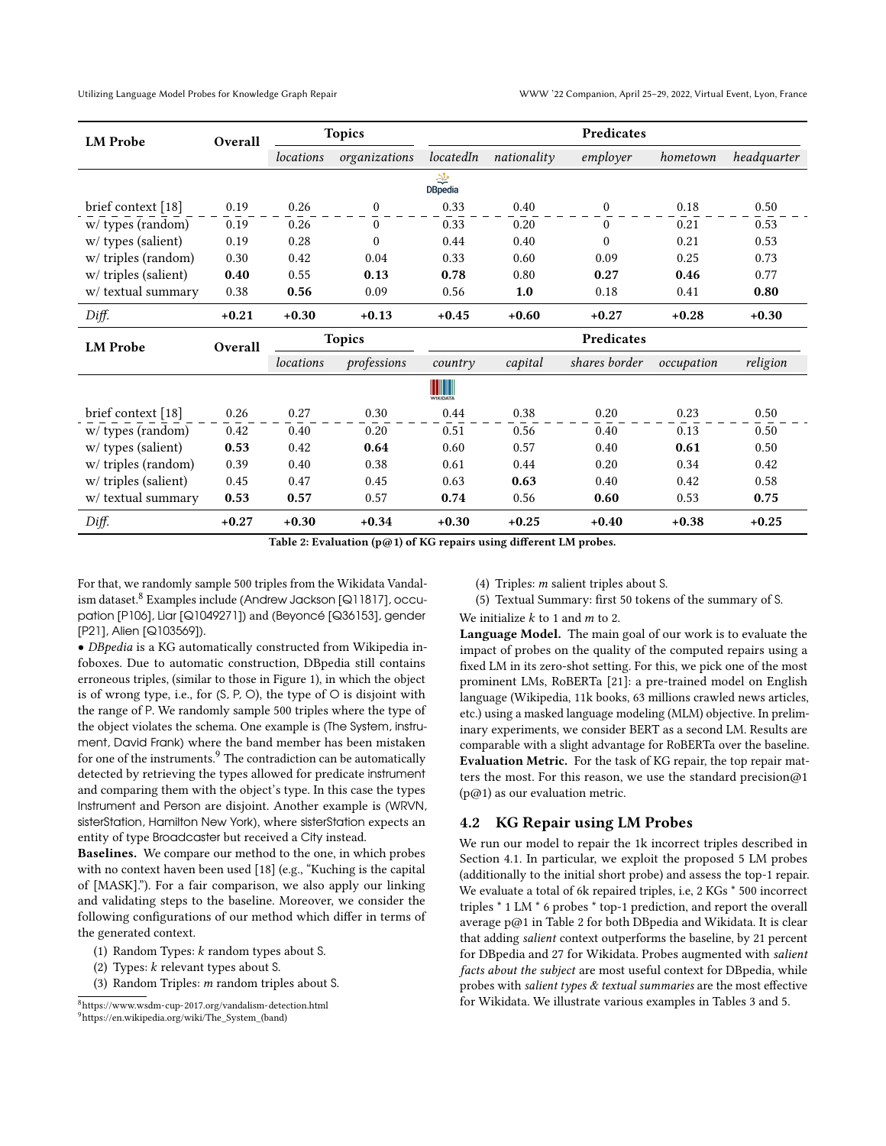<span id="page-4-2"></span>

| <b>LM</b> Probe       | Overall | <b>Topics</b> |               | Predicates                      |             |                  |            |             |
|-----------------------|---------|---------------|---------------|---------------------------------|-------------|------------------|------------|-------------|
|                       |         | locations     | organizations | locatedIn                       | nationality | employer         | hometown   | headquarter |
|                       |         |               |               | 李<br><b>DBpedia</b>             |             |                  |            |             |
| brief context [18]    | 0.19    | 0.26          | 0             | 0.33                            | 0.40        | $\boldsymbol{0}$ | 0.18       | 0.50        |
| w/ types (random)     | 0.19    | 0.26          | $\theta$      | 0.33                            | 0.20        | $\Omega$         | 0.21       | 0.53        |
| $w$ / types (salient) | 0.19    | 0.28          | $\theta$      | 0.44                            | 0.40        | $\theta$         | 0.21       | 0.53        |
| w/ triples (random)   | 0.30    | 0.42          | 0.04          | 0.33                            | 0.60        | 0.09             | 0.25       | 0.73        |
| w/ triples (salient)  | 0.40    |               | 0.13          | 0.78                            | 0.80        | 0.27             | 0.46       | 0.77        |
| w/ textual summary    | 0.38    | 0.56          | 0.09          | 0.56                            | 1.0         | 0.18             | 0.41       | 0.80        |
| Diff.                 | $+0.21$ | $+0.30$       | $+0.13$       | $+0.45$                         | $+0.60$     | $+0.27$          | $+0.28$    | $+0.30$     |
| <b>LM</b> Probe       | Overall | <b>Topics</b> |               | Predicates                      |             |                  |            |             |
|                       |         | locations     | professions   | country                         | capital     | shares border    | occupation | religion    |
|                       |         |               |               | <b>THEFT</b><br><b>WIKIDATA</b> |             |                  |            |             |
| brief context [18]    | 0.26    | 0.27          | 0.30          | 0.44                            | 0.38        | 0.20             | 0.23       | 0.50        |
| w/ types (random)     | 0.42    | 0.40          | 0.20          | 0.51                            | 0.56        | 0.40             | 0.13       | 0.50        |
| $w$ / types (salient) | 0.53    | 0.42          | 0.64          | 0.60                            | 0.57        | 0.40             | 0.61       | 0.50        |
| w/ triples (random)   | 0.39    | 0.40          | 0.38          | 0.61                            | 0.44        | 0.20             | 0.34       | 0.42        |
| w/ triples (salient)  | 0.45    | 0.47          | 0.45          | 0.63                            | 0.63        | 0.40             | 0.42       | 0.58        |
| w/ textual summary    | 0.53    | 0.57          | 0.57          | 0.74                            | 0.56        | 0.60             | 0.53       | 0.75        |
| Diff.                 | $+0.27$ | $+0.30$       | $+0.34$       | $+0.30$                         | $+0.25$     | $+0.40$          | $+0.38$    | $+0.25$     |

Table 2: Evaluation (p@1) of KG repairs using different LM probes.

For that, we randomly sample 500 triples from the Wikidata Vandalism dataset.[8](#page-4-0) Examples include (Andrew Jackson [Q11817], occupation [P106], Liar [Q1049271]) and (Beyoncé [Q36153], gender [P21], Alien [Q103569]).

• DBpedia is a KG automatically constructed from Wikipedia infoboxes. Due to automatic construction, DBpedia still contains erroneous triples, (similar to those in Figure [1\)](#page-1-0), in which the object is of wrong type, i.e., for  $(S, P, O)$ , the type of  $O$  is disjoint with the range of P. We randomly sample 500 triples where the type of the object violates the schema. One example is (The System, instrument, David Frank) where the band member has been mistaken for one of the instruments.<sup>[9](#page-4-1)</sup> The contradiction can be automatically detected by retrieving the types allowed for predicate instrument and comparing them with the object's type. In this case the types Instrument and Person are disjoint. Another example is (WRVN, sisterStation, Hamilton New York), where sisterStation expects an entity of type Broadcaster but received a City instead.

Baselines. We compare our method to the one, in which probes with no context haven been used [\[18\]](#page-7-11) (e.g., "Kuching is the capital of [MASK]."). For a fair comparison, we also apply our linking and validating steps to the baseline. Moreover, we consider the following configurations of our method which differ in terms of the generated context.

- (1) Random Types:  $k$  random types about S.
- (2) Types:  $k$  relevant types about S.
- (3) Random Triples:  $m$  random triples about S.
- (4) Triples:  $m$  salient triples about S.
- (5) Textual Summary: first 50 tokens of the summary of S.

We initialize  $k$  to 1 and  $m$  to 2.

Language Model. The main goal of our work is to evaluate the impact of probes on the quality of the computed repairs using a fixed LM in its zero-shot setting. For this, we pick one of the most prominent LMs, RoBERTa [\[21\]](#page-7-19): a pre-trained model on English language (Wikipedia, 11k books, 63 millions crawled news articles, etc.) using a masked language modeling (MLM) objective. In preliminary experiments, we consider BERT as a second LM. Results are comparable with a slight advantage for RoBERTa over the baseline. Evaluation Metric. For the task of KG repair, the top repair matters the most. For this reason, we use the standard precision@1  $(p@1)$  as our evaluation metric.

## 4.2 KG Repair using LM Probes

We run our model to repair the 1k incorrect triples described in Section [4.1.](#page-3-5) In particular, we exploit the proposed 5 LM probes (additionally to the initial short probe) and assess the top-1 repair. We evaluate a total of 6k repaired triples, i.e, 2 KGs \* 500 incorrect triples \* 1 LM \* 6 probes \* top-1 prediction, and report the overall average p@1 in Table [2](#page-4-2) for both DBpedia and Wikidata. It is clear that adding salient context outperforms the baseline, by 21 percent for DBpedia and 27 for Wikidata. Probes augmented with salient facts about the subject are most useful context for DBpedia, while probes with salient types & textual summaries are the most effective for Wikidata. We illustrate various examples in Tables [3](#page-5-0) and [5.](#page-6-0)

<span id="page-4-1"></span><span id="page-4-0"></span><sup>8</sup><https://www.wsdm-cup-2017.org/vandalism-detection.html> <sup>9</sup>[https://en.wikipedia.org/wiki/The\\_System\\_\(band\)](https://en.wikipedia.org/wiki/The_System_(band))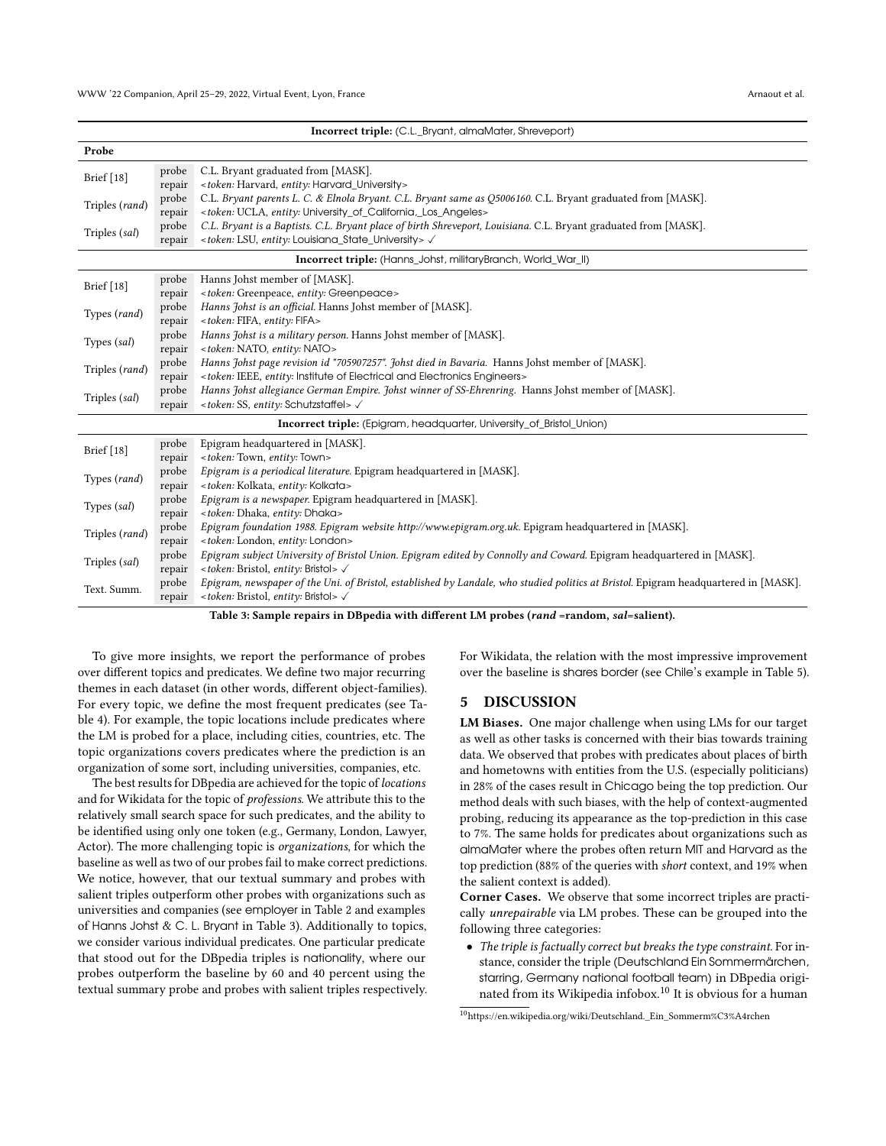<span id="page-5-0"></span>

| Incorrect triple: (C.L._Bryant, almaMater, Shreveport)                |        |                                                                                                                                      |  |  |
|-----------------------------------------------------------------------|--------|--------------------------------------------------------------------------------------------------------------------------------------|--|--|
| Probe                                                                 |        |                                                                                                                                      |  |  |
| Brief [18]                                                            | probe  | C.L. Bryant graduated from [MASK].                                                                                                   |  |  |
|                                                                       | repair | <token: entity:="" harvard,="" harvard_university=""></token:>                                                                       |  |  |
| Triples (rand)                                                        | probe  | C.L. Bryant parents L. C. & Elnola Bryant. C.L. Bryant same as Q5006160. C.L. Bryant graduated from [MASK].                          |  |  |
|                                                                       | repair | <token: entity:="" ucla,="" university_of_california,_los_angeles=""></token:>                                                       |  |  |
| Triples (sal)                                                         | probe  | C.L. Bryant is a Baptists. C.L. Bryant place of birth Shreveport, Louisiana. C.L. Bryant graduated from [MASK].                      |  |  |
|                                                                       | repair | <token: entity:="" louisiana_state_university="" lsu,=""> <math>\checkmark</math></token:>                                           |  |  |
| Incorrect triple: (Hanns_Johst, militaryBranch, World_War_II)         |        |                                                                                                                                      |  |  |
| Brief [18]                                                            | probe  | Hanns Johst member of [MASK].                                                                                                        |  |  |
|                                                                       | repair | <token: entity:="" greenpeace="" greenpeace,=""></token:>                                                                            |  |  |
| Types (rand)                                                          | probe  | Hanns Johst is an official. Hanns Johst member of [MASK].                                                                            |  |  |
|                                                                       | repair | <token: entity:="" fifa="" fifa,=""></token:>                                                                                        |  |  |
| Types (sal)                                                           | probe  | Hanns Johst is a military person. Hanns Johst member of [MASK].                                                                      |  |  |
|                                                                       | repair | <token: entity:="" nato="" nato,=""></token:>                                                                                        |  |  |
| Triples (rand)                                                        | probe  | Hanns Johst page revision id "705907257". Johst died in Bavaria. Hanns Johst member of [MASK].                                       |  |  |
|                                                                       | repair | <token: and="" electrical="" electronics="" engineers="" entity:="" ieee,="" institute="" of=""></token:>                            |  |  |
| Triples (sal)                                                         | probe  | Hanns Johst allegiance German Empire. Johst winner of SS-Ehrenring. Hanns Johst member of [MASK].                                    |  |  |
|                                                                       | repair | <token: entity:="" schutzstaffel="" ss,=""> <math>\checkmark</math></token:>                                                         |  |  |
| Incorrect triple: (Epigram, headquarter, University_of_Bristol_Union) |        |                                                                                                                                      |  |  |
| Brief [18]                                                            | probe  | Epigram headquartered in [MASK].                                                                                                     |  |  |
|                                                                       | repair | <token: entity:="" town="" town,=""></token:>                                                                                        |  |  |
| Types (rand)                                                          | probe  | Epigram is a periodical literature. Epigram headquartered in [MASK].                                                                 |  |  |
|                                                                       | repair | <token: entity:="" kolkata="" kolkata,=""></token:>                                                                                  |  |  |
| Types (sal)                                                           | probe  | Epigram is a newspaper. Epigram headquartered in [MASK].                                                                             |  |  |
|                                                                       | repair | <token: dhaka="" dhaka,="" entity:=""></token:>                                                                                      |  |  |
| Triples (rand)                                                        | probe  | Epigram foundation 1988. Epigram website http://www.epigram.org.uk. Epigram headquartered in [MASK].                                 |  |  |
|                                                                       | repair | <token: entity:="" london="" london,=""></token:>                                                                                    |  |  |
| Triples (sal)                                                         | probe  | Epigram subject University of Bristol Union. Epigram edited by Connolly and Coward. Epigram headquartered in [MASK].                 |  |  |
|                                                                       | repair | <token: bristol="" bristol,="" entity:=""> √</token:>                                                                                |  |  |
| Text. Summ.                                                           | probe  | Epigram, newspaper of the Uni. of Bristol, established by Landale, who studied politics at Bristol. Epigram headquartered in [MASK]. |  |  |
|                                                                       | repair | <token: bristol="" bristol,="" entity:=""> <math>\checkmark</math></token:>                                                          |  |  |

Table 3: Sample repairs in DBpedia with different LM probes (rand =random, sal=salient).

To give more insights, we report the performance of probes over different topics and predicates. We define two major recurring themes in each dataset (in other words, different object-families). For every topic, we define the most frequent predicates (see Table [4\)](#page-6-1). For example, the topic locations include predicates where the LM is probed for a place, including cities, countries, etc. The topic organizations covers predicates where the prediction is an organization of some sort, including universities, companies, etc.

The best results for DBpedia are achieved for the topic of locations and for Wikidata for the topic of professions. We attribute this to the relatively small search space for such predicates, and the ability to be identified using only one token (e.g., Germany, London, Lawyer, Actor). The more challenging topic is organizations, for which the baseline as well as two of our probes fail to make correct predictions. We notice, however, that our textual summary and probes with salient triples outperform other probes with organizations such as universities and companies (see employer in Table [2](#page-4-2) and examples of Hanns Johst & C. L. Bryant in Table [3\)](#page-5-0). Additionally to topics, we consider various individual predicates. One particular predicate that stood out for the DBpedia triples is nationality, where our probes outperform the baseline by 60 and 40 percent using the textual summary probe and probes with salient triples respectively.

For Wikidata, the relation with the most impressive improvement over the baseline is shares border (see Chile's example in Table [5\)](#page-6-0).

#### 5 DISCUSSION

LM Biases. One major challenge when using LMs for our target as well as other tasks is concerned with their bias towards training data. We observed that probes with predicates about places of birth and hometowns with entities from the U.S. (especially politicians) in 28% of the cases result in Chicago being the top prediction. Our method deals with such biases, with the help of context-augmented probing, reducing its appearance as the top-prediction in this case to 7%. The same holds for predicates about organizations such as almaMater where the probes often return MIT and Harvard as the top prediction (88% of the queries with short context, and 19% when the salient context is added).

Corner Cases. We observe that some incorrect triples are practically unrepairable via LM probes. These can be grouped into the following three categories:

• The triple is factually correct but breaks the type constraint. For instance, consider the triple (Deutschland Ein Sommermärchen, starring, Germany national football team) in DBpedia originated from its Wikipedia infobox.[10](#page-5-1) It is obvious for a human

<span id="page-5-1"></span><sup>10</sup>[https://en.wikipedia.org/wiki/Deutschland.\\_Ein\\_Sommerm%C3%A4rchen](https://en.wikipedia.org/wiki/Deutschland._Ein_Sommerm%C3%A4rchen)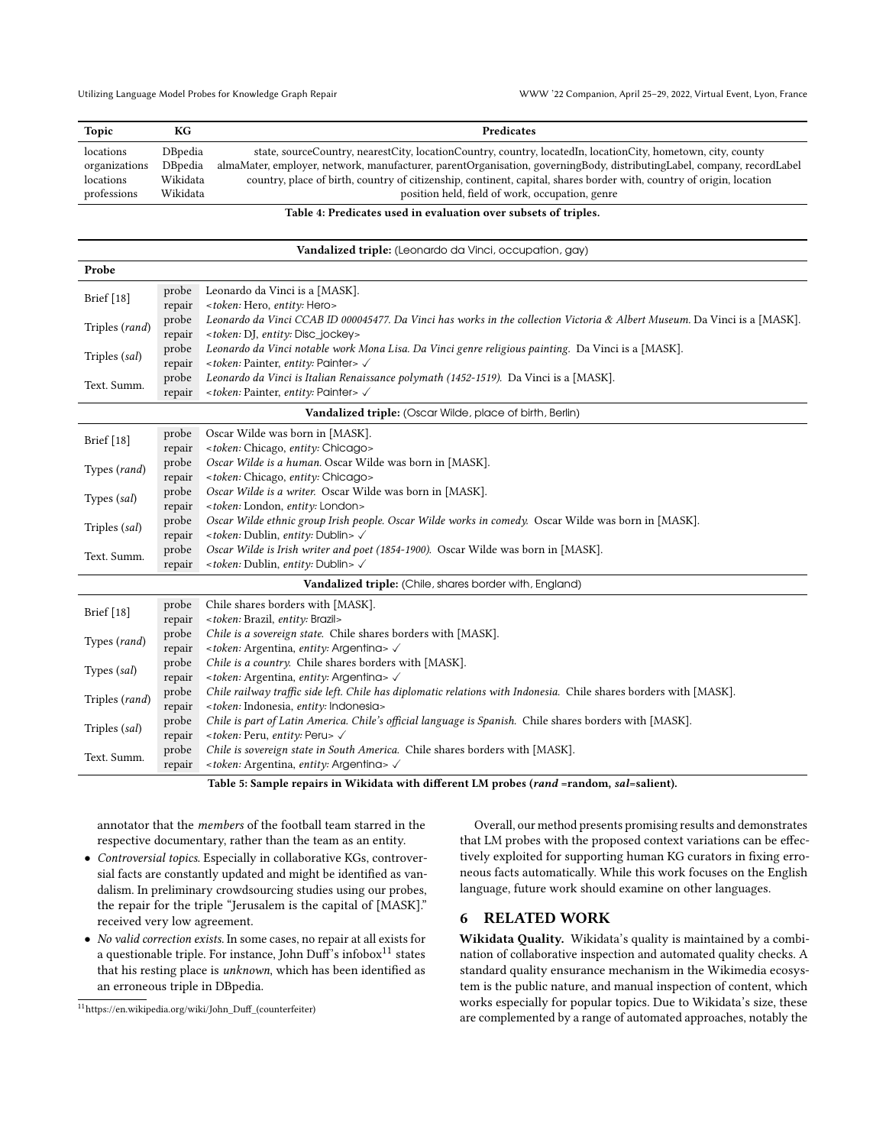<span id="page-6-1"></span>

| Topic         | КG       | <b>Predicates</b>                                                                                                      |
|---------------|----------|------------------------------------------------------------------------------------------------------------------------|
| locations     | DBpedia  | state, sourceCountry, nearestCity, locationCountry, country, locatedIn, locationCity, hometown, city, county           |
| organizations | DBpedia  | almaMater, employer, network, manufacturer, parentOrganisation, governingBody, distributingLabel, company, recordLabel |
| locations     | Wikidata | country, place of birth, country of citizenship, continent, capital, shares border with, country of origin, location   |
| professions   | Wikidata | position held, field of work, occupation, genre                                                                        |

#### Table 4: Predicates used in evaluation over subsets of triples.

# Vandalized triple: (Leonardo da Vinci, occupation, gay)

<span id="page-6-0"></span>

| Probe                                                    |        |                                                                                                                           |  |  |
|----------------------------------------------------------|--------|---------------------------------------------------------------------------------------------------------------------------|--|--|
|                                                          | probe  | Leonardo da Vinci is a [MASK].                                                                                            |  |  |
| Brief [18]                                               | repair | <token: entity:="" hero="" hero,=""></token:>                                                                             |  |  |
| Triples (rand)                                           | probe  | Leonardo da Vinci CCAB ID 000045477. Da Vinci has works in the collection Victoria & Albert Museum. Da Vinci is a [MASK]. |  |  |
|                                                          | repair | <token: disc_jockey="" dj,="" entity:=""></token:>                                                                        |  |  |
| Triples (sal)                                            | probe  | Leonardo da Vinci notable work Mona Lisa. Da Vinci genre religious painting. Da Vinci is a [MASK].                        |  |  |
|                                                          | repair | <token: entity:="" painter="" painter,=""> √</token:>                                                                     |  |  |
| Text. Summ.                                              | probe  | Leonardo da Vinci is Italian Renaissance polymath (1452-1519). Da Vinci is a [MASK].                                      |  |  |
|                                                          | repair | <token: entity:="" painter="" painter,=""> √</token:>                                                                     |  |  |
| Vandalized triple: (Oscar Wilde, place of birth, Berlin) |        |                                                                                                                           |  |  |
|                                                          | probe  | Oscar Wilde was born in [MASK].                                                                                           |  |  |
| Brief [18]                                               | repair | <token: chicago="" chicago,="" entity:=""></token:>                                                                       |  |  |
| Types (rand)                                             | probe  | Oscar Wilde is a human. Oscar Wilde was born in [MASK].                                                                   |  |  |
|                                                          | repair | <token: chicago="" chicago,="" entity:=""></token:>                                                                       |  |  |
| Types (sal)                                              | probe  | Oscar Wilde is a writer. Oscar Wilde was born in [MASK].                                                                  |  |  |
|                                                          | repair | <token: entity:="" london="" london,=""></token:>                                                                         |  |  |
| Triples (sal)                                            | probe  | Oscar Wilde ethnic group Irish people. Oscar Wilde works in comedy. Oscar Wilde was born in [MASK].                       |  |  |
|                                                          | repair | <token: dublin="" dublin,="" entity:=""> √</token:>                                                                       |  |  |
| Text. Summ.                                              | probe  | Oscar Wilde is Irish writer and poet (1854-1900). Oscar Wilde was born in [MASK].                                         |  |  |
|                                                          | repair | <token: dublin="" dublin,="" entity:=""> √</token:>                                                                       |  |  |
|                                                          |        | Vandalized triple: (Chile, shares border with, England)                                                                   |  |  |
|                                                          | probe  | Chile shares borders with [MASK].                                                                                         |  |  |
| Brief [18]                                               | repair | <token: brazil="" brazil,="" entity:=""></token:>                                                                         |  |  |
| Types (rand)                                             | probe  | Chile is a sovereign state. Chile shares borders with [MASK].                                                             |  |  |
|                                                          | repair | <token: argentina,="" argenting="" entity:=""> √</token:>                                                                 |  |  |
| Types (sal)                                              | probe  | Chile is a country. Chile shares borders with [MASK].                                                                     |  |  |
|                                                          | repair | <token: argentina,="" argenting="" entity:=""> √</token:>                                                                 |  |  |
| Triples (rand)                                           | probe  | Chile railway traffic side left. Chile has diplomatic relations with Indonesia. Chile shares borders with [MASK].         |  |  |
|                                                          | repair | <token: entity:="" indonesia="" indonesia,=""></token:>                                                                   |  |  |
| Triples (sal)                                            | probe  | Chile is part of Latin America. Chile's official language is Spanish. Chile shares borders with [MASK].                   |  |  |
|                                                          | repair | <token: entity:="" peru="" peru,=""> V</token:>                                                                           |  |  |
| Text. Summ.                                              | probe  | Chile is sovereign state in South America. Chile shares borders with [MASK].                                              |  |  |
|                                                          | repair | <token: argentina,="" argenting="" entity:=""> √</token:>                                                                 |  |  |
|                                                          |        | Table 5: Sample repairs in Wikidata with different LM probes (rand =random, sal=salient).                                 |  |  |

annotator that the members of the football team starred in the respective documentary, rather than the team as an entity.

- Controversial topics. Especially in collaborative KGs, controversial facts are constantly updated and might be identified as vandalism. In preliminary crowdsourcing studies using our probes, the repair for the triple "Jerusalem is the capital of [MASK]." received very low agreement.
- No valid correction exists. In some cases, no repair at all exists for a questionable triple. For instance, John Duff's infobox<sup>[11](#page-6-2)</sup> states that his resting place is unknown, which has been identified as an erroneous triple in DBpedia.

Overall, our method presents promising results and demonstrates that LM probes with the proposed context variations can be effectively exploited for supporting human KG curators in fixing erroneous facts automatically. While this work focuses on the English language, future work should examine on other languages.

#### 6 RELATED WORK

Wikidata Quality. Wikidata's quality is maintained by a combination of collaborative inspection and automated quality checks. A standard quality ensurance mechanism in the Wikimedia ecosystem is the public nature, and manual inspection of content, which works especially for popular topics. Due to Wikidata's size, these are complemented by a range of automated approaches, notably the

<span id="page-6-2"></span> $\rm ^{11}$ [https://en.wikipedia.org/wiki/John\\_Duff\\_\(counterfeiter\)](https://en.wikipedia.org/wiki/John_Duff_(counterfeiter))